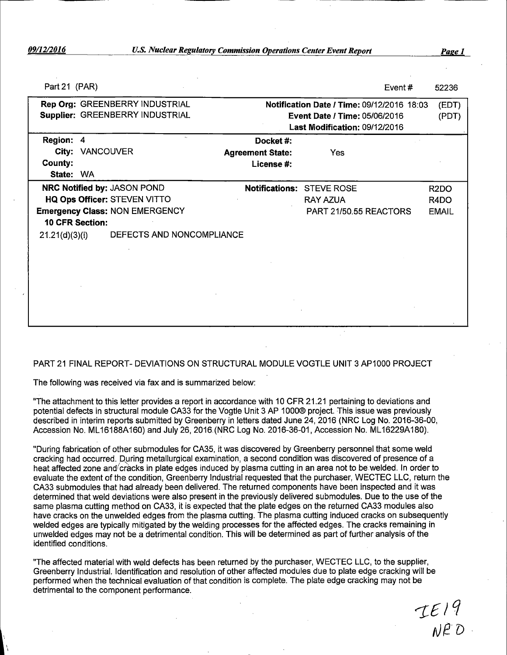| Part 21 (PAR)                         |                                 |                               | Event $#$                                         | 52236             |
|---------------------------------------|---------------------------------|-------------------------------|---------------------------------------------------|-------------------|
| Rep Org: GREENBERRY INDUSTRIAL        |                                 |                               | <b>Notification Date / Time: 09/12/2016 18:03</b> | (EDT)             |
|                                       | Supplier: GREENBERRY INDUSTRIAL |                               | <b>Event Date / Time: 05/06/2016</b>              | (PDT)             |
|                                       |                                 | Last Modification: 09/12/2016 |                                                   |                   |
| Region: 4                             |                                 | Docket#:                      |                                                   |                   |
| City: VANCOUVER                       |                                 | <b>Agreement State:</b>       | Yes                                               |                   |
| <b>County:</b>                        |                                 | License #:                    |                                                   |                   |
| State: WA                             |                                 |                               |                                                   |                   |
| NRC Notified by: JASON POND           |                                 |                               | Notifications: STEVE ROSE                         | R <sub>2</sub> DO |
| HQ Ops Officer: STEVEN VITTO          |                                 |                               | <b>RAY AZUA</b>                                   | R4DO              |
| <b>Emergency Class: NON EMERGENCY</b> |                                 |                               | PART 21/50.55 REACTORS                            | <b>EMAIL</b>      |
| <b>10 CFR Section:</b>                |                                 |                               |                                                   |                   |
| 21.21(d)(3)(i)                        | DEFECTS AND NONCOMPLIANCE       |                               |                                                   |                   |
|                                       |                                 |                               |                                                   |                   |
|                                       |                                 |                               |                                                   |                   |
|                                       |                                 |                               |                                                   |                   |
|                                       |                                 |                               |                                                   |                   |
|                                       |                                 |                               |                                                   |                   |
|                                       |                                 |                               |                                                   |                   |
|                                       |                                 |                               |                                                   |                   |
|                                       |                                 |                               |                                                   |                   |

#### PART 21 FINAL REPORT- DEVIATIONS ON STRUCTURAL MODULE VOGTLE UNIT 3 AP1000 PROJECT

The following was received via fax and is summarized below:

"The attachment to this letter provides a report in accordance with 10 CFR 21.21 pertaining to deviations and potential defects in structural module CA33 for the Vogtle Unit 3 AP 1000® project. This issue was previously described in interim reports submitted by Greenberry in letters dated June 24, 2016 (NRC Log No. 2016-36-00, Accession No. ML 16188A160) and July 26, 2016.(NRC Log No. 2016-36-01, Accession No. ML 16229A180).

"During fabrication of other submodules for CA35, it was discovered by Greenberry personnel that some weld cracking had occurred. During metallurgical examination, a second condition was discovered of presence of a heat affected zone and cracks in plate edges induced by plasma cutting in an area not to be welded. In order to evaluate the extent of the condition, Greenberry Industrial requested that the purchaser, WECTEC LLC, return the CA33 submodules that had already been delivered. The returned components have been inspected and it was determined that weld deviations were also present in the previously delivered submodules. Due to the use of the same plasma cutting method on CA33, it is expected that the plate edges on the returned CA33 modules also have cracks on the unwelded edges from the plasma cutting. The plasma cutting induced cracks on subsequently welded edges are typically mitigated by the welding processes for the affected edges. The cracks remaining in unwelded edges may not be a detrimental condition. This will be determined as part of further analysis of the identified conditions.

"The affected material with weld defects has been returned by the purchaser, WECTEC LLC, to the supplier, Greenberry Industrial. Identification and resolution of other affected modules due to plate edge cracking will be performed when the technical evaluation of that condition is complete. The plate edge cracking may not be detrimental to the component performance.

IE19<br>NED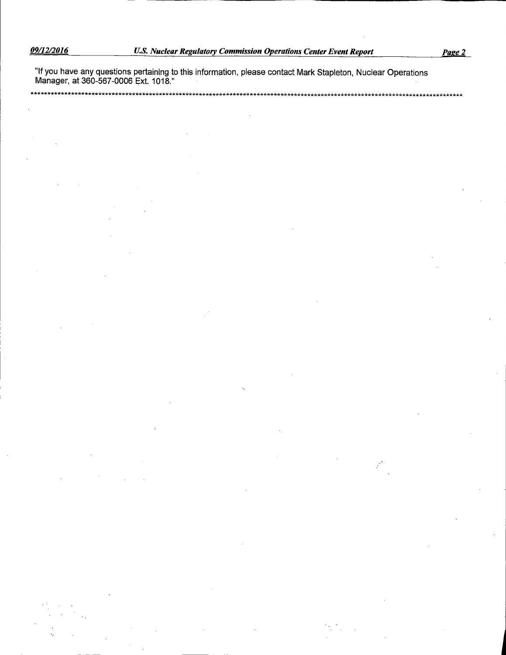\*\*

"If you have any questions pertaining to this information, please contact Mark Stapleton, Nuclear Operations<br>Manager, at 360-567-0006 Ext. 1018."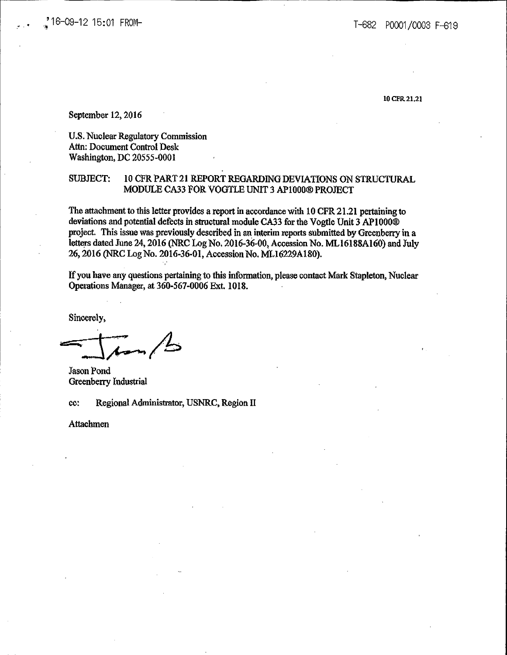10CFR21,21

September 12, 2016

U.S. Nuclear Regulatory Commission Attn: Document Control Desk Washington, DC 20555-0001

### SUBJECT: 10 CFR PART 21 REPORT REGARDING DEVIATIONS ON STRUCTURAL MODULE CA33 FOR VOGTLE UNIT 3 APlOOO® PROJECT

The attachment to this letter provides a report in accordance with 10 CFR 21.21 pertaining to deviations and potential defects in structural module CA33 for the Vogtle Unit 3 APIOOO® project. This issue was previously described in an interim reports submitted by Greenberry in a letters dated June 24, 2016 (NRC Log No. 2016-36-00, Accession No. ML16188A160) and July 26, 2016 (NRC Log No. 2016-36-01, Accession No. MLI6229Al80).

If you have any questions pertaining to this infonnation, please contact Mark Stapleton, Nuclear Ope:rations Manager, at 360-567-0006 Ext. 1018.

Sincerely,

 $=$  $\frac{1}{4}$ 

Jason Pond Greenberry Industrial

cc: Regional Administrator, USNRC, Region II

Attachmen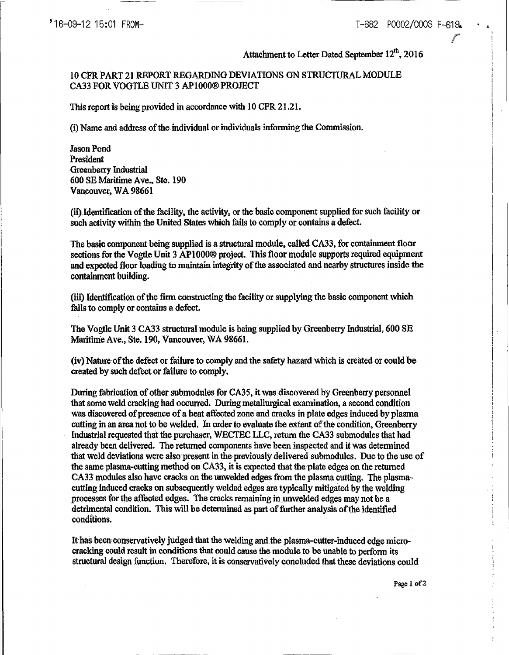# Attachment to Letter Dated September 12<sup>th</sup>, 2016

# 10 CPR PART 21 REPORT REGARDING DEVIATIONS ON STRUCTURAL MODULE CA33 FOR VOGTLE UNIT 3 APlOOO® PROJECT

This report is being provided in accordance with 10 CPR 21.21.

(i) Name and address of the. individual or individuals informing the Commission.

Jason Pond President Greenberry Industrial 600 SE Maritime Ave., Ste. 190 Vancouver, WA 98661

(ii)ldentification of the facility, the activity, or the basic component supplied for such facility or such activity within the United States which fails to comply or contains a defect.

The basic component being supplied is a structural module, called CA33, for contaimnent floor sections for the Vogtle Unit 3 AP1000® project. This floor module supports required equipment and expected floor loading to maintain integrity of the associated and nearby structures inside the contaimnent building.

(iii) Identification of the firm constructing the facility or supplying the basic component which fails to comply or contains a defect.

The Vogtle Unit 3 CA33 structural module is being supplied by Greenberry Industrial, 600 SE Maritime Ave., Ste. 190, Vancouver, WA 98661.

(iv) Nature of the defect or failure to comply and the safety hazard which is created or could be created by such defect or failure to comply.

During fabrication of other submodules for CA35, it was discovered by Greenberry personnel that some weld cracking had occurred. During metallurgical examination, a second condition was discovered of presence of a heat affected zone and cracks in plate edges induced by plasma cutting in an area not to be welded. In order to evaluate the extent of the condition, Greenberry Industrial requested that the purchaser, WECTECLLC, return the CA33 submodules that had already been delivered. The returned components have been inspected and it was determined that weld deviations were also present in the previously delivered submodules. Due to the use of the same plasma-cutting method on CA33, it is expected that the plate edges on the returned CA33 modules also have cracks on the unwelded edges from the plasma cutting. The plasmacutting induced cracks on subsequently welded edges are typically mitigated by the welding processes for the affected edges. The cracks remaining in unwelded edges may not be a detrimental condition. This will be determined as part of further analysis of the identified conditions.

It has been conservatively judged that the welding and the plasma-cutter-induced edge microcracking could result jn conditions that could cause the module to be unable to perform its structural design function. Therefore, it is conservatively concluded that these deviations could

Page 1 of2